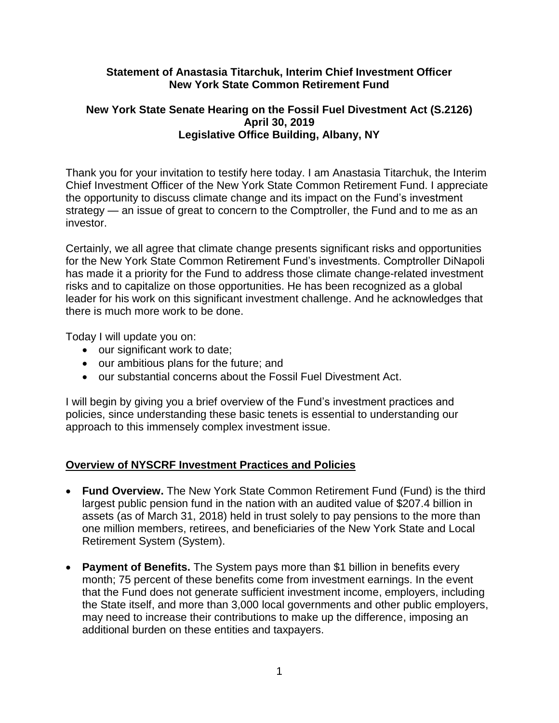### **Statement of Anastasia Titarchuk, Interim Chief Investment Officer New York State Common Retirement Fund**

### **New York State Senate Hearing on the Fossil Fuel Divestment Act (S.2126) April 30, 2019 Legislative Office Building, Albany, NY**

Thank you for your invitation to testify here today. I am Anastasia Titarchuk, the Interim Chief Investment Officer of the New York State Common Retirement Fund. I appreciate the opportunity to discuss climate change and its impact on the Fund's investment strategy — an issue of great to concern to the Comptroller, the Fund and to me as an investor.

Certainly, we all agree that climate change presents significant risks and opportunities for the New York State Common Retirement Fund's investments. Comptroller DiNapoli has made it a priority for the Fund to address those climate change-related investment risks and to capitalize on those opportunities. He has been recognized as a global leader for his work on this significant investment challenge. And he acknowledges that there is much more work to be done.

Today I will update you on:

- our significant work to date;
- our ambitious plans for the future; and
- our substantial concerns about the Fossil Fuel Divestment Act.

I will begin by giving you a brief overview of the Fund's investment practices and policies, since understanding these basic tenets is essential to understanding our approach to this immensely complex investment issue.

# **Overview of NYSCRF Investment Practices and Policies**

- **Fund Overview.** The New York State Common Retirement Fund (Fund) is the third largest public pension fund in the nation with an audited value of \$207.4 billion in assets (as of March 31, 2018) held in trust solely to pay pensions to the more than one million members, retirees, and beneficiaries of the New York State and Local Retirement System (System).
- **Payment of Benefits.** The System pays more than \$1 billion in benefits every month; 75 percent of these benefits come from investment earnings. In the event that the Fund does not generate sufficient investment income, employers, including the State itself, and more than 3,000 local governments and other public employers, may need to increase their contributions to make up the difference, imposing an additional burden on these entities and taxpayers.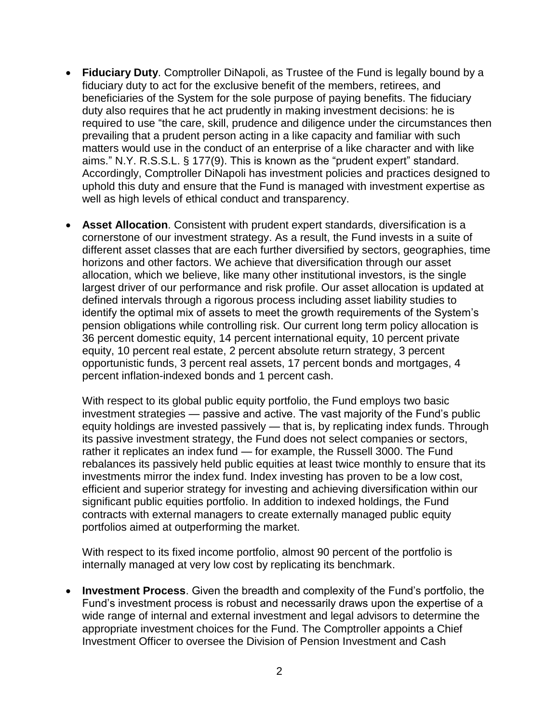- **Fiduciary Duty**. Comptroller DiNapoli, as Trustee of the Fund is legally bound by a fiduciary duty to act for the exclusive benefit of the members, retirees, and beneficiaries of the System for the sole purpose of paying benefits. The fiduciary duty also requires that he act prudently in making investment decisions: he is required to use "the care, skill, prudence and diligence under the circumstances then prevailing that a prudent person acting in a like capacity and familiar with such matters would use in the conduct of an enterprise of a like character and with like aims." N.Y. R.S.S.L. § 177(9). This is known as the "prudent expert" standard. Accordingly, Comptroller DiNapoli has investment policies and practices designed to uphold this duty and ensure that the Fund is managed with investment expertise as well as high levels of ethical conduct and transparency.
- **Asset Allocation**. Consistent with prudent expert standards, diversification is a cornerstone of our investment strategy. As a result, the Fund invests in a suite of different asset classes that are each further diversified by sectors, geographies, time horizons and other factors. We achieve that diversification through our asset allocation, which we believe, like many other institutional investors, is the single largest driver of our performance and risk profile. Our asset allocation is updated at defined intervals through a rigorous process including asset liability studies to identify the optimal mix of assets to meet the growth requirements of the System's pension obligations while controlling risk. Our current long term policy allocation is 36 percent domestic equity, 14 percent international equity, 10 percent private equity, 10 percent real estate, 2 percent absolute return strategy, 3 percent opportunistic funds, 3 percent real assets, 17 percent bonds and mortgages, 4 percent inflation-indexed bonds and 1 percent cash.

With respect to its global public equity portfolio, the Fund employs two basic investment strategies — passive and active. The vast majority of the Fund's public equity holdings are invested passively — that is, by replicating index funds. Through its passive investment strategy, the Fund does not select companies or sectors, rather it replicates an index fund — for example, the Russell 3000. The Fund rebalances its passively held public equities at least twice monthly to ensure that its investments mirror the index fund. Index investing has proven to be a low cost, efficient and superior strategy for investing and achieving diversification within our significant public equities portfolio. In addition to indexed holdings, the Fund contracts with external managers to create externally managed public equity portfolios aimed at outperforming the market.

With respect to its fixed income portfolio, almost 90 percent of the portfolio is internally managed at very low cost by replicating its benchmark.

 **Investment Process**. Given the breadth and complexity of the Fund's portfolio, the Fund's investment process is robust and necessarily draws upon the expertise of a wide range of internal and external investment and legal advisors to determine the appropriate investment choices for the Fund. The Comptroller appoints a Chief Investment Officer to oversee the Division of Pension Investment and Cash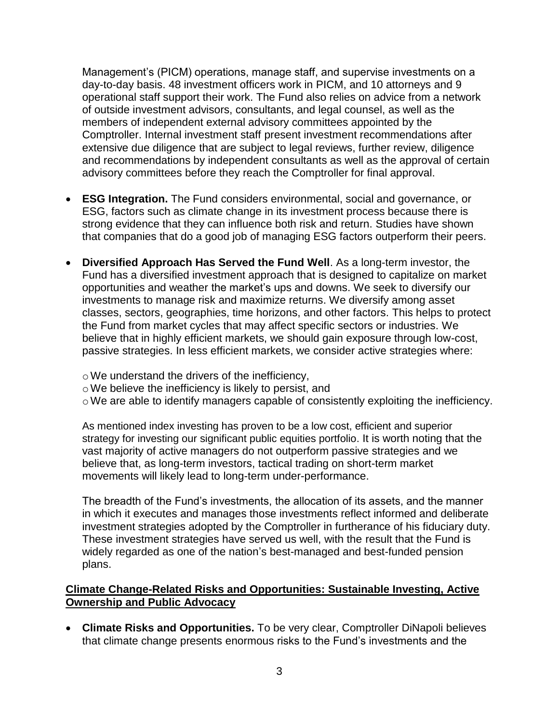Management's (PICM) operations, manage staff, and supervise investments on a day-to-day basis. 48 investment officers work in PICM, and 10 attorneys and 9 operational staff support their work. The Fund also relies on advice from a network of outside investment advisors, consultants, and legal counsel, as well as the members of independent external advisory committees appointed by the Comptroller. Internal investment staff present investment recommendations after extensive due diligence that are subject to legal reviews, further review, diligence and recommendations by independent consultants as well as the approval of certain advisory committees before they reach the Comptroller for final approval.

- **ESG Integration.** The Fund considers environmental, social and governance, or ESG, factors such as climate change in its investment process because there is strong evidence that they can influence both risk and return. Studies have shown that companies that do a good job of managing ESG factors outperform their peers.
- **Diversified Approach Has Served the Fund Well**. As a long-term investor, the Fund has a diversified investment approach that is designed to capitalize on market opportunities and weather the market's ups and downs. We seek to diversify our investments to manage risk and maximize returns. We diversify among asset classes, sectors, geographies, time horizons, and other factors. This helps to protect the Fund from market cycles that may affect specific sectors or industries. We believe that in highly efficient markets, we should gain exposure through low-cost, passive strategies. In less efficient markets, we consider active strategies where:
	- oWe understand the drivers of the inefficiency,
	- oWe believe the inefficiency is likely to persist, and
	- oWe are able to identify managers capable of consistently exploiting the inefficiency.

As mentioned index investing has proven to be a low cost, efficient and superior strategy for investing our significant public equities portfolio. It is worth noting that the vast majority of active managers do not outperform passive strategies and we believe that, as long-term investors, tactical trading on short-term market movements will likely lead to long-term under-performance.

The breadth of the Fund's investments, the allocation of its assets, and the manner in which it executes and manages those investments reflect informed and deliberate investment strategies adopted by the Comptroller in furtherance of his fiduciary duty. These investment strategies have served us well, with the result that the Fund is widely regarded as one of the nation's best-managed and best-funded pension plans.

### **Climate Change-Related Risks and Opportunities: Sustainable Investing, Active Ownership and Public Advocacy**

 **Climate Risks and Opportunities.** To be very clear, Comptroller DiNapoli believes that climate change presents enormous risks to the Fund's investments and the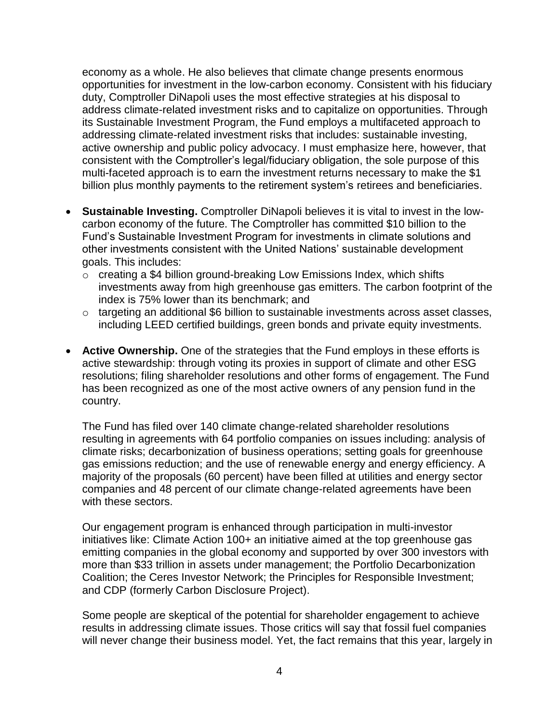economy as a whole. He also believes that climate change presents enormous opportunities for investment in the low-carbon economy. Consistent with his fiduciary duty, Comptroller DiNapoli uses the most effective strategies at his disposal to address climate-related investment risks and to capitalize on opportunities. Through its Sustainable Investment Program, the Fund employs a multifaceted approach to addressing climate-related investment risks that includes: sustainable investing, active ownership and public policy advocacy. I must emphasize here, however, that consistent with the Comptroller's legal/fiduciary obligation, the sole purpose of this multi-faceted approach is to earn the investment returns necessary to make the \$1 billion plus monthly payments to the retirement system's retirees and beneficiaries.

- **Sustainable Investing.** Comptroller DiNapoli believes it is vital to invest in the lowcarbon economy of the future. The Comptroller has committed \$10 billion to the Fund's Sustainable Investment Program for investments in climate solutions and other investments consistent with the United Nations' sustainable development goals. This includes:
	- o creating a \$4 billion ground-breaking Low Emissions Index, which shifts investments away from high greenhouse gas emitters. The carbon footprint of the index is 75% lower than its benchmark; and
	- $\circ$  targeting an additional \$6 billion to sustainable investments across asset classes, including LEED certified buildings, green bonds and private equity investments.
- **Active Ownership.** One of the strategies that the Fund employs in these efforts is active stewardship: through voting its proxies in support of climate and other ESG resolutions; filing shareholder resolutions and other forms of engagement. The Fund has been recognized as one of the most active owners of any pension fund in the country.

The Fund has filed over 140 climate change-related shareholder resolutions resulting in agreements with 64 portfolio companies on issues including: analysis of climate risks; decarbonization of business operations; setting goals for greenhouse gas emissions reduction; and the use of renewable energy and energy efficiency. A majority of the proposals (60 percent) have been filled at utilities and energy sector companies and 48 percent of our climate change-related agreements have been with these sectors.

Our engagement program is enhanced through participation in multi-investor initiatives like: Climate Action 100+ an initiative aimed at the top greenhouse gas emitting companies in the global economy and supported by over 300 investors with more than \$33 trillion in assets under management; the Portfolio Decarbonization Coalition; the Ceres Investor Network; the Principles for Responsible Investment; and CDP (formerly Carbon Disclosure Project).

Some people are skeptical of the potential for shareholder engagement to achieve results in addressing climate issues. Those critics will say that fossil fuel companies will never change their business model. Yet, the fact remains that this year, largely in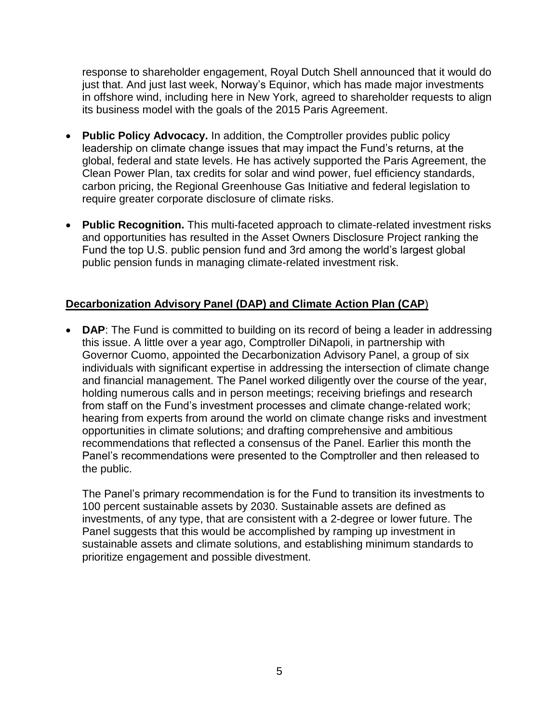response to shareholder engagement, Royal Dutch Shell announced that it would do just that. And just last week, Norway's Equinor, which has made major investments in offshore wind, including here in New York, agreed to shareholder requests to align its business model with the goals of the 2015 Paris Agreement.

- **Public Policy Advocacy.** In addition, the Comptroller provides public policy leadership on climate change issues that may impact the Fund's returns, at the global, federal and state levels. He has actively supported the Paris Agreement, the Clean Power Plan, tax credits for solar and wind power, fuel efficiency standards, carbon pricing, the Regional Greenhouse Gas Initiative and federal legislation to require greater corporate disclosure of climate risks.
- **Public Recognition.** This multi-faceted approach to climate-related investment risks and opportunities has resulted in the Asset Owners Disclosure Project ranking the Fund the top U.S. public pension fund and 3rd among the world's largest global public pension funds in managing climate-related investment risk.

# **Decarbonization Advisory Panel (DAP) and Climate Action Plan (CAP**)

 **DAP**: The Fund is committed to building on its record of being a leader in addressing this issue. A little over a year ago, Comptroller DiNapoli, in partnership with Governor Cuomo, appointed the Decarbonization Advisory Panel, a group of six individuals with significant expertise in addressing the intersection of climate change and financial management. The Panel worked diligently over the course of the year, holding numerous calls and in person meetings; receiving briefings and research from staff on the Fund's investment processes and climate change-related work; hearing from experts from around the world on climate change risks and investment opportunities in climate solutions; and drafting comprehensive and ambitious recommendations that reflected a consensus of the Panel. Earlier this month the Panel's recommendations were presented to the Comptroller and then released to the public.

The Panel's primary recommendation is for the Fund to transition its investments to 100 percent sustainable assets by 2030. Sustainable assets are defined as investments, of any type, that are consistent with a 2-degree or lower future. The Panel suggests that this would be accomplished by ramping up investment in sustainable assets and climate solutions, and establishing minimum standards to prioritize engagement and possible divestment.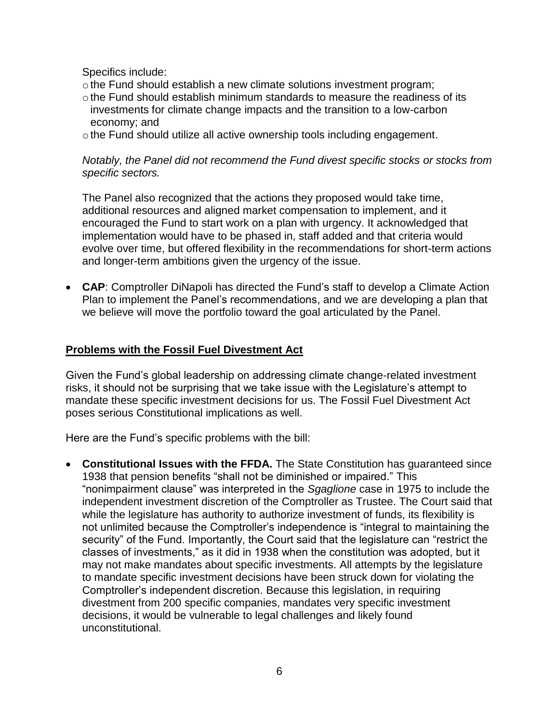Specifics include:

- othe Fund should establish a new climate solutions investment program;
- $\circ$  the Fund should establish minimum standards to measure the readiness of its investments for climate change impacts and the transition to a low-carbon economy; and
- othe Fund should utilize all active ownership tools including engagement.

### *Notably, the Panel did not recommend the Fund divest specific stocks or stocks from specific sectors.*

The Panel also recognized that the actions they proposed would take time, additional resources and aligned market compensation to implement, and it encouraged the Fund to start work on a plan with urgency. It acknowledged that implementation would have to be phased in, staff added and that criteria would evolve over time, but offered flexibility in the recommendations for short-term actions and longer-term ambitions given the urgency of the issue.

 **CAP**: Comptroller DiNapoli has directed the Fund's staff to develop a Climate Action Plan to implement the Panel's recommendations, and we are developing a plan that we believe will move the portfolio toward the goal articulated by the Panel.

### **Problems with the Fossil Fuel Divestment Act**

Given the Fund's global leadership on addressing climate change-related investment risks, it should not be surprising that we take issue with the Legislature's attempt to mandate these specific investment decisions for us. The Fossil Fuel Divestment Act poses serious Constitutional implications as well.

Here are the Fund's specific problems with the bill:

 **Constitutional Issues with the FFDA.** The State Constitution has guaranteed since 1938 that pension benefits "shall not be diminished or impaired." This "nonimpairment clause" was interpreted in the *Sgaglione* case in 1975 to include the independent investment discretion of the Comptroller as Trustee. The Court said that while the legislature has authority to authorize investment of funds, its flexibility is not unlimited because the Comptroller's independence is "integral to maintaining the security" of the Fund. Importantly, the Court said that the legislature can "restrict the classes of investments," as it did in 1938 when the constitution was adopted, but it may not make mandates about specific investments. All attempts by the legislature to mandate specific investment decisions have been struck down for violating the Comptroller's independent discretion. Because this legislation, in requiring divestment from 200 specific companies, mandates very specific investment decisions, it would be vulnerable to legal challenges and likely found unconstitutional.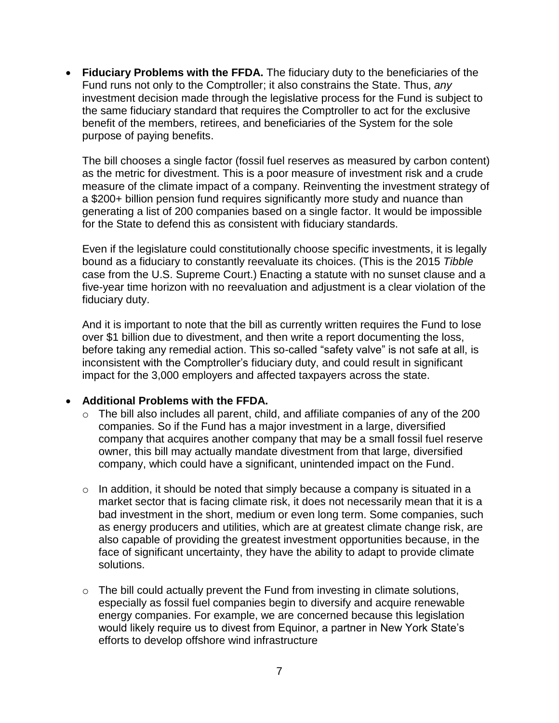**Fiduciary Problems with the FFDA.** The fiduciary duty to the beneficiaries of the Fund runs not only to the Comptroller; it also constrains the State. Thus, *any* investment decision made through the legislative process for the Fund is subject to the same fiduciary standard that requires the Comptroller to act for the exclusive benefit of the members, retirees, and beneficiaries of the System for the sole purpose of paying benefits.

The bill chooses a single factor (fossil fuel reserves as measured by carbon content) as the metric for divestment. This is a poor measure of investment risk and a crude measure of the climate impact of a company. Reinventing the investment strategy of a \$200+ billion pension fund requires significantly more study and nuance than generating a list of 200 companies based on a single factor. It would be impossible for the State to defend this as consistent with fiduciary standards.

Even if the legislature could constitutionally choose specific investments, it is legally bound as a fiduciary to constantly reevaluate its choices. (This is the 2015 *Tibble*  case from the U.S. Supreme Court.) Enacting a statute with no sunset clause and a five-year time horizon with no reevaluation and adjustment is a clear violation of the fiduciary duty.

And it is important to note that the bill as currently written requires the Fund to lose over \$1 billion due to divestment, and then write a report documenting the loss, before taking any remedial action. This so-called "safety valve" is not safe at all, is inconsistent with the Comptroller's fiduciary duty, and could result in significant impact for the 3,000 employers and affected taxpayers across the state.

### **Additional Problems with the FFDA.**

- $\circ$  The bill also includes all parent, child, and affiliate companies of any of the 200 companies. So if the Fund has a major investment in a large, diversified company that acquires another company that may be a small fossil fuel reserve owner, this bill may actually mandate divestment from that large, diversified company, which could have a significant, unintended impact on the Fund.
- $\circ$  In addition, it should be noted that simply because a company is situated in a market sector that is facing climate risk, it does not necessarily mean that it is a bad investment in the short, medium or even long term. Some companies, such as energy producers and utilities, which are at greatest climate change risk, are also capable of providing the greatest investment opportunities because, in the face of significant uncertainty, they have the ability to adapt to provide climate solutions.
- o The bill could actually prevent the Fund from investing in climate solutions, especially as fossil fuel companies begin to diversify and acquire renewable energy companies. For example, we are concerned because this legislation would likely require us to divest from Equinor, a partner in New York State's efforts to develop offshore wind infrastructure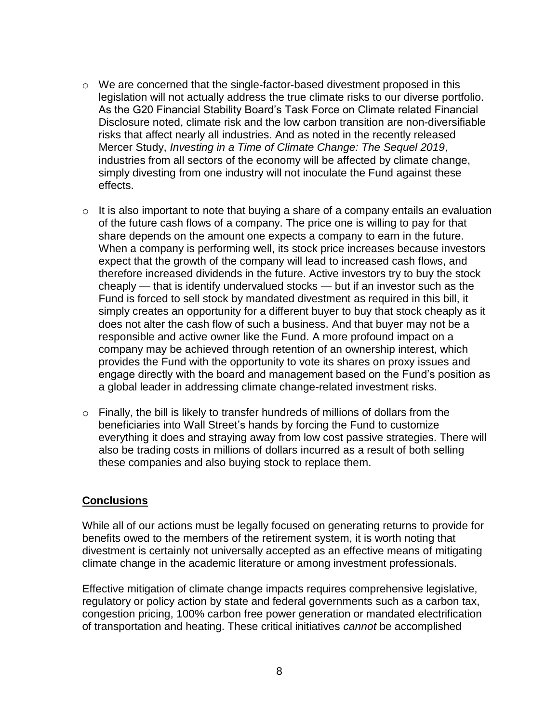- o We are concerned that the single-factor-based divestment proposed in this legislation will not actually address the true climate risks to our diverse portfolio. As the G20 Financial Stability Board's Task Force on Climate related Financial Disclosure noted, climate risk and the low carbon transition are non-diversifiable risks that affect nearly all industries. And as noted in the recently released Mercer Study, *Investing in a Time of Climate Change: The Sequel 2019*, industries from all sectors of the economy will be affected by climate change, simply divesting from one industry will not inoculate the Fund against these effects.
- $\circ$  It is also important to note that buying a share of a company entails an evaluation of the future cash flows of a company. The price one is willing to pay for that share depends on the amount one expects a company to earn in the future. When a company is performing well, its stock price increases because investors expect that the growth of the company will lead to increased cash flows, and therefore increased dividends in the future. Active investors try to buy the stock cheaply — that is identify undervalued stocks — but if an investor such as the Fund is forced to sell stock by mandated divestment as required in this bill, it simply creates an opportunity for a different buyer to buy that stock cheaply as it does not alter the cash flow of such a business. And that buyer may not be a responsible and active owner like the Fund. A more profound impact on a company may be achieved through retention of an ownership interest, which provides the Fund with the opportunity to vote its shares on proxy issues and engage directly with the board and management based on the Fund's position as a global leader in addressing climate change-related investment risks.
- $\circ$  Finally, the bill is likely to transfer hundreds of millions of dollars from the beneficiaries into Wall Street's hands by forcing the Fund to customize everything it does and straying away from low cost passive strategies. There will also be trading costs in millions of dollars incurred as a result of both selling these companies and also buying stock to replace them.

#### **Conclusions**

While all of our actions must be legally focused on generating returns to provide for benefits owed to the members of the retirement system, it is worth noting that divestment is certainly not universally accepted as an effective means of mitigating climate change in the academic literature or among investment professionals.

Effective mitigation of climate change impacts requires comprehensive legislative, regulatory or policy action by state and federal governments such as a carbon tax, congestion pricing, 100% carbon free power generation or mandated electrification of transportation and heating. These critical initiatives *cannot* be accomplished